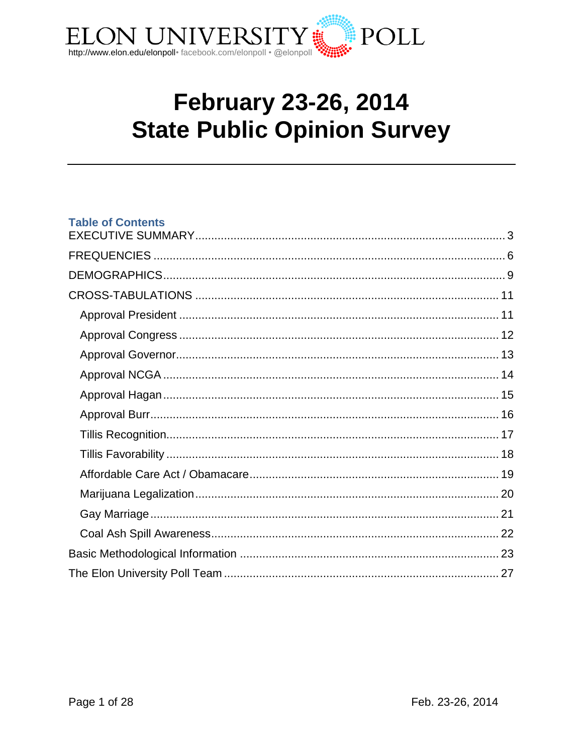

# **February 23-26, 2014 State Public Opinion Survey**

## **Table of Contents**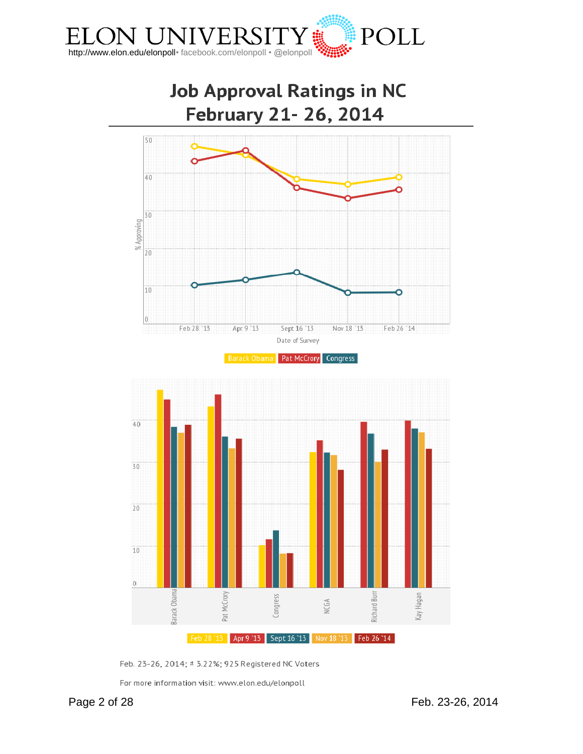



Feb. 23-26, 2014; ± 3.22%; 925 Registered NC Voters

For more information visit: www.elon.edu/elonpoll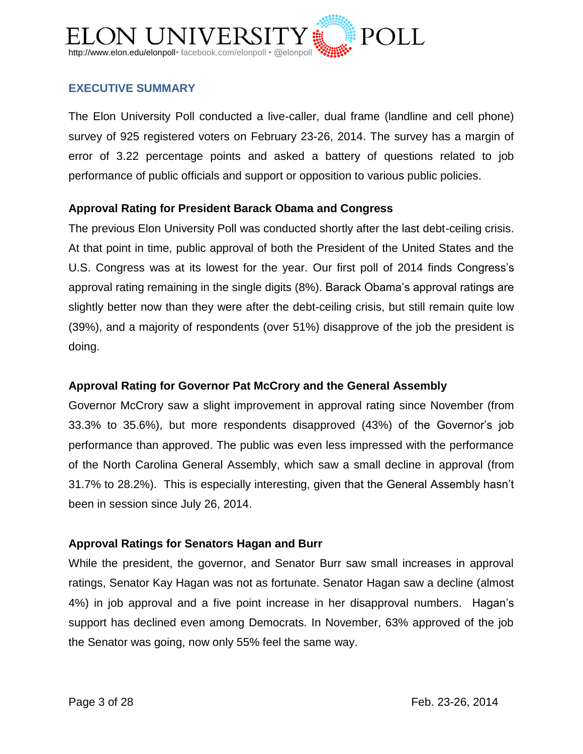

# <span id="page-2-0"></span>**EXECUTIVE SUMMARY**

The Elon University Poll conducted a live-caller, dual frame (landline and cell phone) survey of 925 registered voters on February 23-26, 2014. The survey has a margin of error of 3.22 percentage points and asked a battery of questions related to job performance of public officials and support or opposition to various public policies.

# **Approval Rating for President Barack Obama and Congress**

The previous Elon University Poll was conducted shortly after the last debt-ceiling crisis. At that point in time, public approval of both the President of the United States and the U.S. Congress was at its lowest for the year. Our first poll of 2014 finds Congress's approval rating remaining in the single digits (8%). Barack Obama's approval ratings are slightly better now than they were after the debt-ceiling crisis, but still remain quite low (39%), and a majority of respondents (over 51%) disapprove of the job the president is doing.

## **Approval Rating for Governor Pat McCrory and the General Assembly**

Governor McCrory saw a slight improvement in approval rating since November (from 33.3% to 35.6%), but more respondents disapproved (43%) of the Governor's job performance than approved. The public was even less impressed with the performance of the North Carolina General Assembly, which saw a small decline in approval (from 31.7% to 28.2%). This is especially interesting, given that the General Assembly hasn't been in session since July 26, 2014.

## **Approval Ratings for Senators Hagan and Burr**

While the president, the governor, and Senator Burr saw small increases in approval ratings, Senator Kay Hagan was not as fortunate. Senator Hagan saw a decline (almost 4%) in job approval and a five point increase in her disapproval numbers. Hagan's support has declined even among Democrats. In November, 63% approved of the job the Senator was going, now only 55% feel the same way.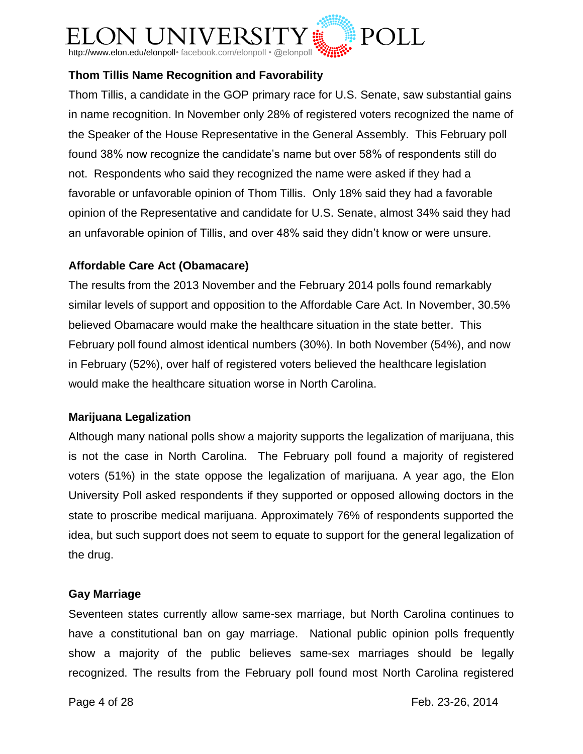

# **Thom Tillis Name Recognition and Favorability**

Thom Tillis, a candidate in the GOP primary race for U.S. Senate, saw substantial gains in name recognition. In November only 28% of registered voters recognized the name of the Speaker of the House Representative in the General Assembly. This February poll found 38% now recognize the candidate's name but over 58% of respondents still do not. Respondents who said they recognized the name were asked if they had a favorable or unfavorable opinion of Thom Tillis. Only 18% said they had a favorable opinion of the Representative and candidate for U.S. Senate, almost 34% said they had an unfavorable opinion of Tillis, and over 48% said they didn't know or were unsure.

# **Affordable Care Act (Obamacare)**

The results from the 2013 November and the February 2014 polls found remarkably similar levels of support and opposition to the Affordable Care Act. In November, 30.5% believed Obamacare would make the healthcare situation in the state better. This February poll found almost identical numbers (30%). In both November (54%), and now in February (52%), over half of registered voters believed the healthcare legislation would make the healthcare situation worse in North Carolina.

# **Marijuana Legalization**

Although many national polls show a majority supports the legalization of marijuana, this is not the case in North Carolina. The February poll found a majority of registered voters (51%) in the state oppose the legalization of marijuana. A year ago, the Elon University Poll asked respondents if they supported or opposed allowing doctors in the state to proscribe medical marijuana. Approximately 76% of respondents supported the idea, but such support does not seem to equate to support for the general legalization of the drug.

# **Gay Marriage**

Seventeen states currently allow same-sex marriage, but North Carolina continues to have a constitutional ban on gay marriage. National public opinion polls frequently show a majority of the public believes same-sex marriages should be legally recognized. The results from the February poll found most North Carolina registered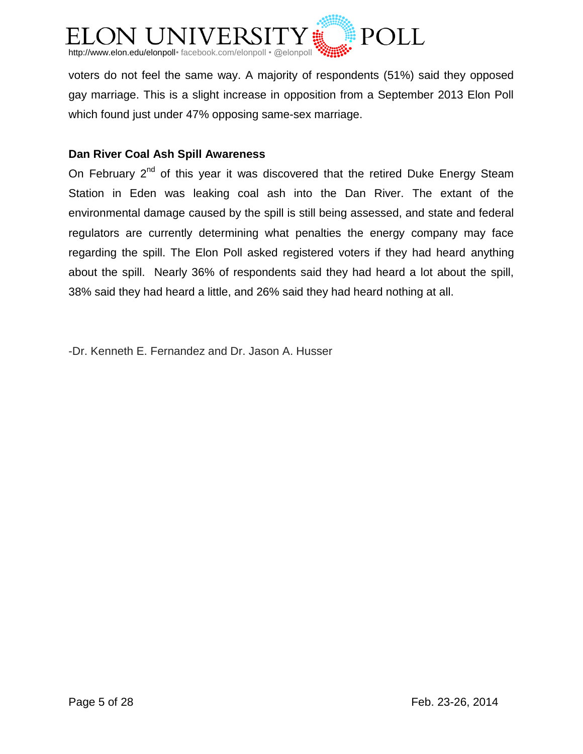

voters do not feel the same way. A majority of respondents (51%) said they opposed gay marriage. This is a slight increase in opposition from a September 2013 Elon Poll which found just under 47% opposing same-sex marriage.

# **Dan River Coal Ash Spill Awareness**

On February  $2^{nd}$  of this year it was discovered that the retired Duke Energy Steam Station in Eden was leaking coal ash into the Dan River. The extant of the environmental damage caused by the spill is still being assessed, and state and federal regulators are currently determining what penalties the energy company may face regarding the spill. The Elon Poll asked registered voters if they had heard anything about the spill. Nearly 36% of respondents said they had heard a lot about the spill, 38% said they had heard a little, and 26% said they had heard nothing at all.

-Dr. Kenneth E. Fernandez and Dr. Jason A. Husser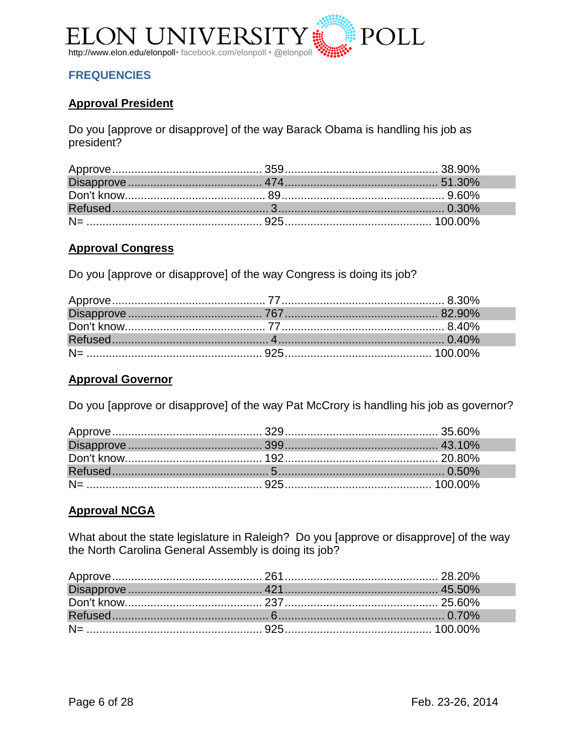

# <span id="page-5-0"></span>**FREQUENCIES**

# **Approval President**

Do you [approve or disapprove] of the way Barack Obama is handling his job as president?

#### **Approval Congress**

Do you [approve or disapprove] of the way Congress is doing its job?

#### **Approval Governor**

Do you [approve or disapprove] of the way Pat McCrory is handling his job as governor?

## **Approval NCGA**

What about the state legislature in Raleigh? Do you [approve or disapprove] of the way the North Carolina General Assembly is doing its job?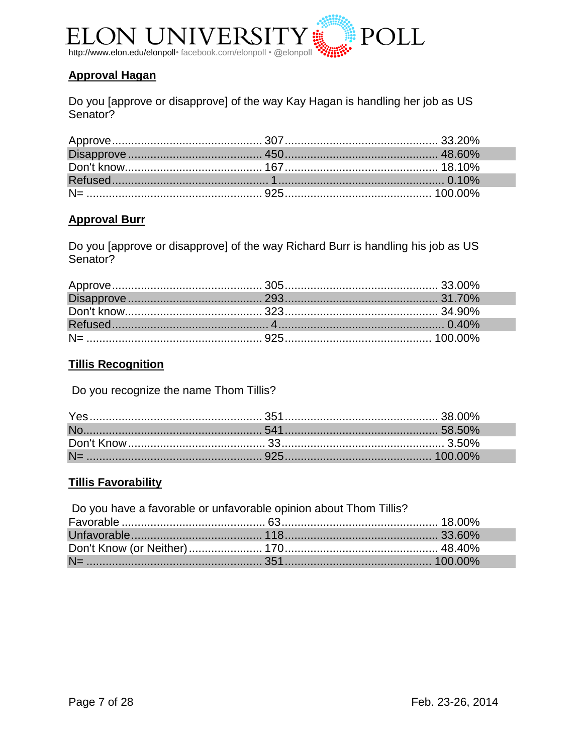

# **Approval Hagan**

Do you [approve or disapprove] of the way Kay Hagan is handling her job as US Senator?

# **Approval Burr**

Do you [approve or disapprove] of the way Richard Burr is handling his job as US Senator?

# **Tillis Recognition**

Do you recognize the name Thom Tillis?

## **Tillis Favorability**

| Do you have a favorable or unfavorable opinion about Thom Tillis? |  |  |  |
|-------------------------------------------------------------------|--|--|--|
|                                                                   |  |  |  |
|                                                                   |  |  |  |
|                                                                   |  |  |  |
|                                                                   |  |  |  |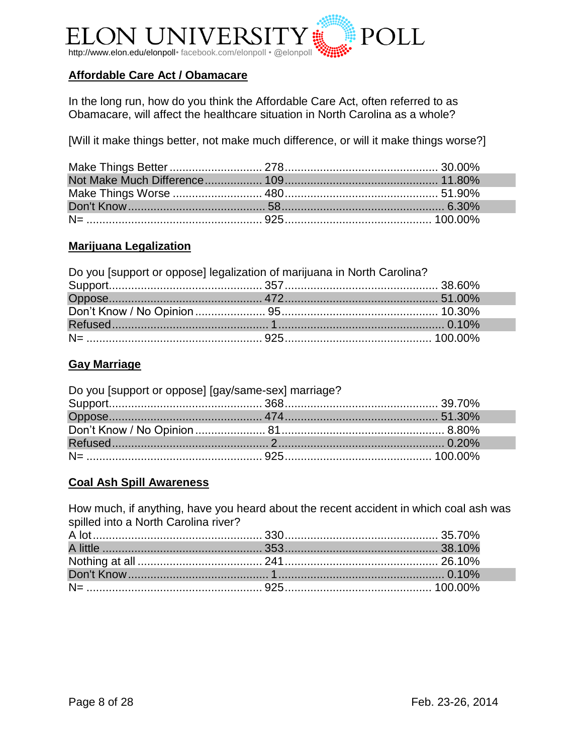

# **Affordable Care Act / Obamacare**

In the long run, how do you think the Affordable Care Act, often referred to as Obamacare, will affect the healthcare situation in North Carolina as a whole?

[Will it make things better, not make much difference, or will it make things worse?]

# **Marijuana Legalization**

| Do you [support or oppose] legalization of marijuana in North Carolina? |  |  |  |
|-------------------------------------------------------------------------|--|--|--|
|                                                                         |  |  |  |
|                                                                         |  |  |  |
|                                                                         |  |  |  |
|                                                                         |  |  |  |
|                                                                         |  |  |  |

# **Gay Marriage**

| Do you [support or oppose] [gay/same-sex] marriage? |  |
|-----------------------------------------------------|--|
|                                                     |  |
|                                                     |  |
|                                                     |  |
|                                                     |  |
|                                                     |  |

## **Coal Ash Spill Awareness**

How much, if anything, have you heard about the recent accident in which coal ash was spilled into a North Carolina river?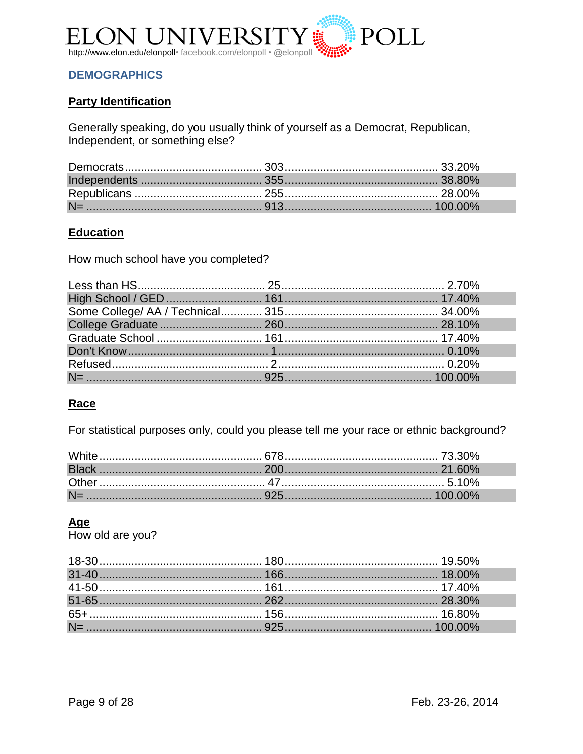

# <span id="page-8-0"></span>**DEMOGRAPHICS**

# **Party Identification**

Generally speaking, do you usually think of yourself as a Democrat, Republican, Independent, or something else?

# **Education**

How much school have you completed?

## Race

For statistical purposes only, could you please tell me your race or ethnic background?

# Age

How old are you?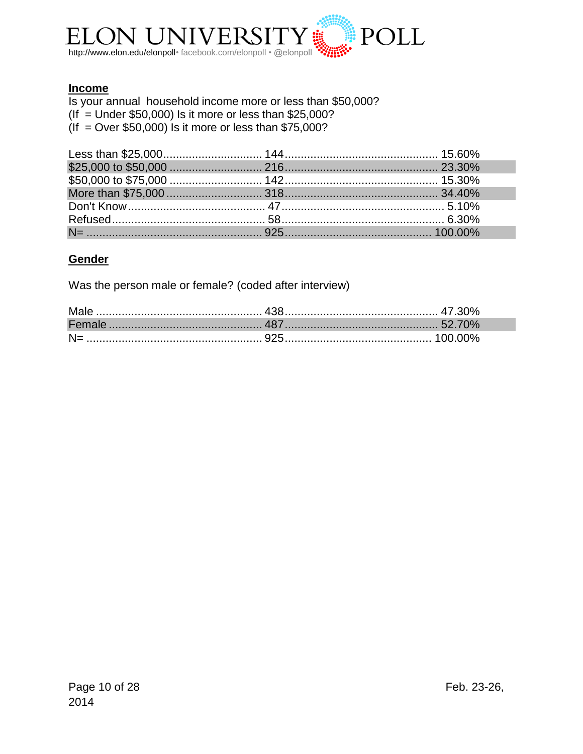

# **Income**

Is your annual household income more or less than \$50,000?  $($ If  $=$  Under \$50,000) Is it more or less than \$25,000?  $($ If = Over \$50,000) Is it more or less than \$75,000?

# Gender

Was the person male or female? (coded after interview)

| N= ………………………………………………… 925……………………………………… 100.00% |  |
|---------------------------------------------------|--|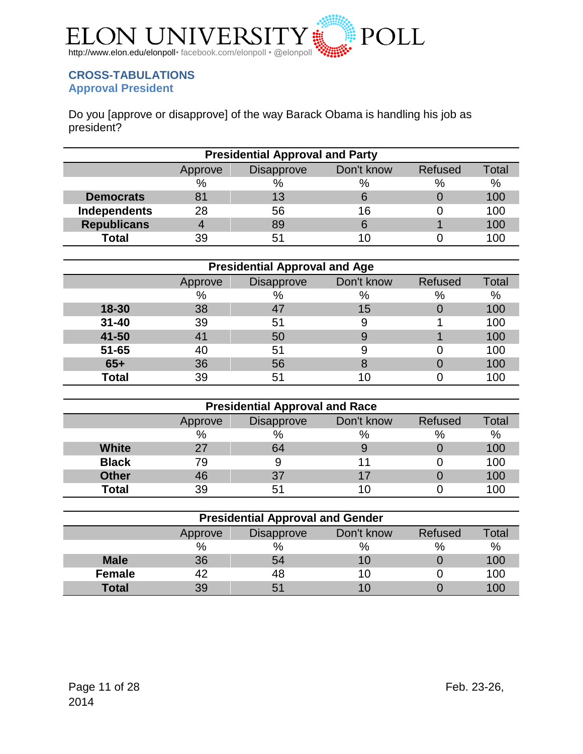

## <span id="page-10-1"></span><span id="page-10-0"></span>**CROSS-TABULATIONS Approval President**

Do you [approve or disapprove] of the way Barack Obama is handling his job as president?

| <b>Presidential Approval and Party</b>                       |               |    |    |      |      |  |
|--------------------------------------------------------------|---------------|----|----|------|------|--|
| Don't know<br><b>Refused</b><br><b>Disapprove</b><br>Approve |               |    |    |      |      |  |
|                                                              | $\frac{0}{0}$ | %  | %  | $\%$ | $\%$ |  |
| <b>Democrats</b>                                             | 81            | 13 |    |      | 100  |  |
| <b>Independents</b>                                          | 28            | 56 | 16 |      | 100  |  |
| <b>Republicans</b>                                           | 4             | 89 |    |      | 100  |  |
| <b>Total</b>                                                 | 39            | 51 |    |      | 100  |  |

| <b>Presidential Approval and Age</b> |         |                   |            |         |              |
|--------------------------------------|---------|-------------------|------------|---------|--------------|
|                                      | Approve | <b>Disapprove</b> | Don't know | Refused | <b>Total</b> |
|                                      | %       | $\%$              | %          | %       | $\%$         |
| $18 - 30$                            | 38      |                   | 15         |         | 100          |
| $31 - 40$                            | 39      | 51                | 9          |         | 100          |
| 41-50                                | 41      | 50                | 9          |         | 100          |
| $51 - 65$                            | 40      | 51                |            |         | 100          |
| $65+$                                | 36      | 56                |            |         | 100          |
| <b>Total</b>                         | 39      | 51                | 11         |         | 100          |

| <b>Presidential Approval and Race</b> |                                                       |               |      |      |     |  |
|---------------------------------------|-------------------------------------------------------|---------------|------|------|-----|--|
|                                       | Don't know<br>Refused<br><b>Disapprove</b><br>Approve |               |      |      |     |  |
|                                       | %                                                     | $\frac{0}{0}$ | $\%$ | $\%$ | %   |  |
| <b>White</b>                          | 27                                                    | 64            |      |      | 100 |  |
| <b>Black</b>                          | 79                                                    |               |      |      | 100 |  |
| <b>Other</b>                          | 46                                                    | 37            | 17   |      | 100 |  |
| <b>Total</b>                          | 39                                                    | 51            |      |      | 100 |  |

| <b>Presidential Approval and Gender</b>                        |    |               |      |      |      |
|----------------------------------------------------------------|----|---------------|------|------|------|
| Don't know<br>Total<br>Refused<br><b>Disapprove</b><br>Approve |    |               |      |      |      |
|                                                                | %  | $\frac{0}{0}$ | $\%$ | $\%$ | $\%$ |
| <b>Male</b>                                                    | 36 | 54            | 10   |      | 100  |
| <b>Female</b>                                                  | 42 | 48            | 10   |      | 100  |
| <b>Total</b>                                                   | 39 | 51            |      |      | 100  |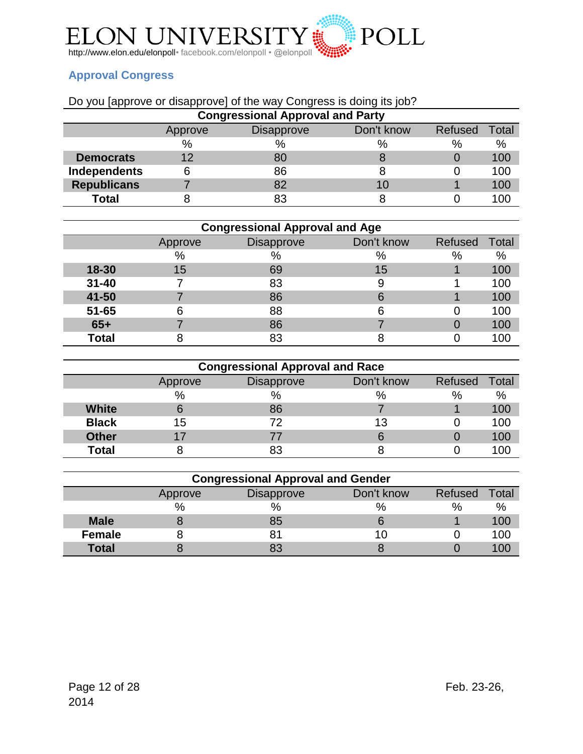

# <span id="page-11-0"></span>**Approval Congress**

# Do you [approve or disapprove] of the way Congress is doing its job?

| <b>Congressional Approval and Party</b> |         |                   |            |         |       |
|-----------------------------------------|---------|-------------------|------------|---------|-------|
|                                         | Approve | <b>Disapprove</b> | Don't know | Refused | Total |
|                                         | $\%$    | %                 | %          | $\%$    | $\%$  |
| <b>Democrats</b>                        | 12      | 80                |            |         | 100   |
| <b>Independents</b>                     |         | 86                |            |         | 100   |
| <b>Republicans</b>                      |         | 82                | 10         |         | 100   |
| <b>Total</b>                            |         | 83                |            |         | 100   |

| <b>Congressional Approval and Age</b> |         |                   |            |         |       |  |  |
|---------------------------------------|---------|-------------------|------------|---------|-------|--|--|
|                                       | Approve | <b>Disapprove</b> | Don't know | Refused | Total |  |  |
|                                       | %       | $\%$              | %          | %       | %     |  |  |
| 18-30                                 | 15      | 69                | 15         |         | 100   |  |  |
| $31 - 40$                             |         | 83                | 9          |         | 100   |  |  |
| 41-50                                 |         | 86                | 6          |         | 100   |  |  |
| $51 - 65$                             |         | 88                | 6          |         | 100   |  |  |
| $65+$                                 |         | 86                |            |         | 100   |  |  |
| <b>Total</b>                          |         | 83                |            |         | 0C    |  |  |

|              | <b>Congressional Approval and Race</b> |                   |            |         |       |  |  |  |
|--------------|----------------------------------------|-------------------|------------|---------|-------|--|--|--|
|              | Approve                                | <b>Disapprove</b> | Don't know | Refused | Total |  |  |  |
|              | %                                      | %                 | %          | %       | %     |  |  |  |
| <b>White</b> |                                        | 86                |            |         | 100   |  |  |  |
| <b>Black</b> | 15                                     | 72                | 13         |         | 100   |  |  |  |
| <b>Other</b> |                                        |                   |            |         | 100   |  |  |  |
| <b>Total</b> |                                        | 83                |            |         | 100   |  |  |  |

| <b>Congressional Approval and Gender</b> |         |                   |            |                |       |  |  |
|------------------------------------------|---------|-------------------|------------|----------------|-------|--|--|
|                                          | Approve | <b>Disapprove</b> | Don't know | <b>Refused</b> | Total |  |  |
|                                          | %       | $\%$              | %          | $\%$           | $\%$  |  |  |
| <b>Male</b>                              |         | 85                |            |                | 100   |  |  |
| <b>Female</b>                            |         |                   | LО         |                | 100   |  |  |
| <b>Total</b>                             |         |                   |            |                | 100   |  |  |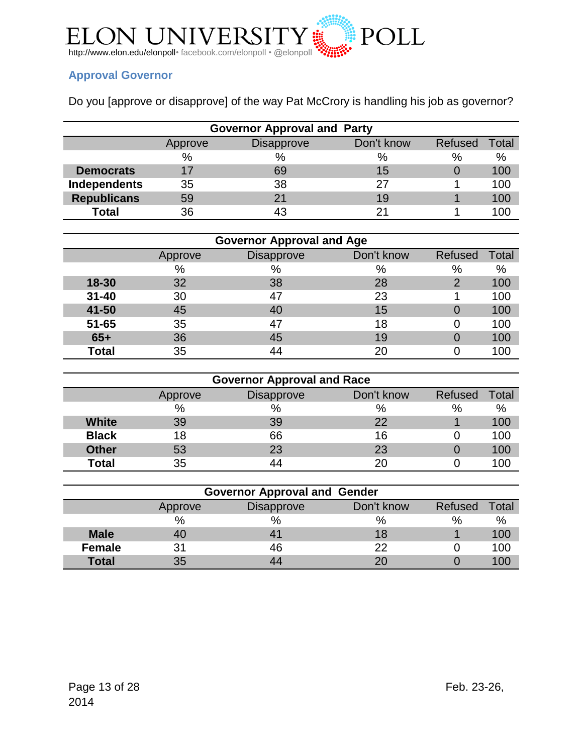

# <span id="page-12-0"></span>**Approval Governor**

Do you [approve or disapprove] of the way Pat McCrory is handling his job as governor?

| <b>Governor Approval and Party</b> |         |                   |            |         |       |  |  |
|------------------------------------|---------|-------------------|------------|---------|-------|--|--|
|                                    | Approve | <b>Disapprove</b> | Don't know | Refused | Total |  |  |
|                                    | $\%$    | $\%$              | %          | %       | $\%$  |  |  |
| <b>Democrats</b>                   | 17      | 69                | 15         |         | 100   |  |  |
| Independents                       | 35      | 38                | 27         |         | 100   |  |  |
| <b>Republicans</b>                 | 59      | 21                | 19         |         | 100   |  |  |
| <b>Total</b>                       | 36      | 43                | 21         |         | 100   |  |  |

| <b>Governor Approval and Age</b> |         |                   |            |                |       |  |  |
|----------------------------------|---------|-------------------|------------|----------------|-------|--|--|
|                                  | Approve | <b>Disapprove</b> | Don't know | <b>Refused</b> | Total |  |  |
|                                  | $\%$    | $\%$              | %          | %              | %     |  |  |
| 18-30                            | 32      | 38                | 28         | 2              | 100   |  |  |
| $31 - 40$                        | 30      | 47                | 23         |                | 100   |  |  |
| 41-50                            | 45      | 40                | 15         |                | 100   |  |  |
| $51 - 65$                        | 35      | 47                | 18         |                | 100   |  |  |
| $65+$                            | 36      | 45                | 19         |                | 100   |  |  |
| <b>Total</b>                     | 35      | 44                | 20         |                | 100   |  |  |

| <b>Governor Approval and Race</b> |         |                   |            |         |       |  |  |
|-----------------------------------|---------|-------------------|------------|---------|-------|--|--|
|                                   | Approve | <b>Disapprove</b> | Don't know | Refused | Total |  |  |
|                                   | $\%$    | %                 | %          | $\%$    | $\%$  |  |  |
| <b>White</b>                      | 39      | 39                | 22         |         | 100   |  |  |
| <b>Black</b>                      | 18      | 66                | 16         |         | 100   |  |  |
| <b>Other</b>                      | 53      | 23                | 23         |         | 100   |  |  |
| <b>Total</b>                      | 35      | 44                | 20         |         | 100   |  |  |

| <b>Governor Approval and Gender</b> |         |                   |            |         |       |  |  |
|-------------------------------------|---------|-------------------|------------|---------|-------|--|--|
|                                     | Approve | <b>Disapprove</b> | Don't know | Refused | Total |  |  |
|                                     | $\%$    | %                 | %          | $\%$    | $\%$  |  |  |
| <b>Male</b>                         | 40      | 41                | 18         |         | 100   |  |  |
| <b>Female</b>                       | 31      | 46                | 22         |         | 100   |  |  |
| <b>Total</b>                        | 35      | 44                | 20         |         | 100   |  |  |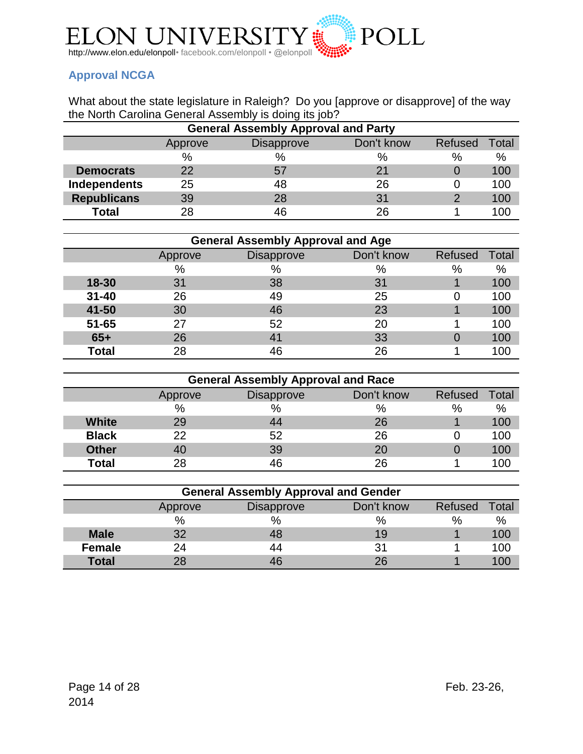

# <span id="page-13-0"></span>**Approval NCGA**

What about the state legislature in Raleigh? Do you [approve or disapprove] of the way the North Carolina General Assembly is doing its job?

| <b>General Assembly Approval and Party</b> |         |                   |            |         |       |  |  |
|--------------------------------------------|---------|-------------------|------------|---------|-------|--|--|
|                                            | Approve | <b>Disapprove</b> | Don't know | Refused | Гotal |  |  |
|                                            | $\%$    | $\%$              | %          | %       | $\%$  |  |  |
| <b>Democrats</b>                           | 22      | 57                | 21         |         | 100   |  |  |
| Independents                               | 25      | 48                | 26         |         | 100   |  |  |
| <b>Republicans</b>                         | 39      | 28                | 31         | ႒       | 100   |  |  |
| <b>Total</b>                               | 28      | 46                | 26         |         | 100   |  |  |

| <b>General Assembly Approval and Age</b> |         |                   |            |         |       |  |  |
|------------------------------------------|---------|-------------------|------------|---------|-------|--|--|
|                                          | Approve | <b>Disapprove</b> | Don't know | Refused | Total |  |  |
|                                          | $\%$    | $\%$              | $\%$       | %       | %     |  |  |
| $18 - 30$                                | 31      | 38                | 31         |         | 100   |  |  |
| $31 - 40$                                | 26      | 49                | 25         |         | 100   |  |  |
| 41-50                                    | 30      | 46                | 23         |         | 100   |  |  |
| $51 - 65$                                | 27      | 52                | 20         |         | 100   |  |  |
| $65+$                                    | 26      | 41                | 33         |         | 100   |  |  |
| <b>Total</b>                             | 28      | 46                | 26         |         | 100   |  |  |

|              | <b>General Assembly Approval and Race</b> |                   |            |         |       |  |  |  |
|--------------|-------------------------------------------|-------------------|------------|---------|-------|--|--|--|
|              | Approve                                   | <b>Disapprove</b> | Don't know | Refused | Total |  |  |  |
|              | $\%$                                      | $\%$              | %          | $\%$    | $\%$  |  |  |  |
| <b>White</b> | 29                                        | 44                | 26         |         | 100   |  |  |  |
| <b>Black</b> | 22                                        | 52                | 26         |         | 100   |  |  |  |
| <b>Other</b> | 40                                        | 39                | 20         |         | 100   |  |  |  |
| <b>Total</b> | 28                                        | 46                | 26         |         | 100   |  |  |  |

| <b>General Assembly Approval and Gender</b> |         |                   |            |         |       |  |  |
|---------------------------------------------|---------|-------------------|------------|---------|-------|--|--|
|                                             | Approve | <b>Disapprove</b> | Don't know | Refused | Total |  |  |
|                                             | $\%$    | $\%$              | $\%$       | $\%$    | %     |  |  |
| <b>Male</b>                                 | 32      | 48                | 19         |         | 100   |  |  |
| <b>Female</b>                               | 24      | 44                | 31         |         | 100   |  |  |
| <b>Total</b>                                | 28      | 46                | 26         |         | 100   |  |  |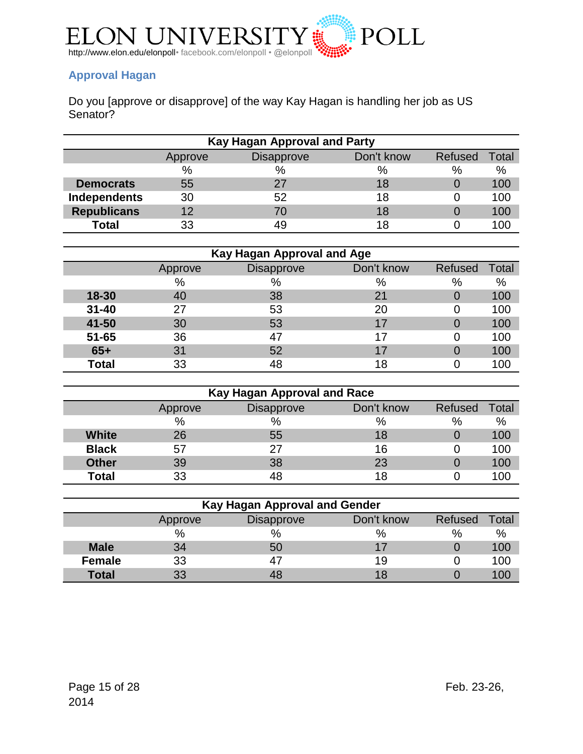

# <span id="page-14-0"></span>**Approval Hagan**

Do you [approve or disapprove] of the way Kay Hagan is handling her job as US Senator?

| <b>Kay Hagan Approval and Party</b> |         |                   |            |                |       |  |
|-------------------------------------|---------|-------------------|------------|----------------|-------|--|
|                                     | Approve | <b>Disapprove</b> | Don't know | <b>Refused</b> | Total |  |
|                                     | $\%$    | %                 | %          | $\%$           | $\%$  |  |
| <b>Democrats</b>                    | 55      | 27                | 18         |                | 100   |  |
| Independents                        | 30      | 52                | 18         |                | 100   |  |
| <b>Republicans</b>                  | 12      | 70                | 18         |                | 100   |  |
| <b>Total</b>                        | 33      | 49                | 18         |                | 100   |  |

| Kay Hagan Approval and Age |         |                   |            |         |       |  |
|----------------------------|---------|-------------------|------------|---------|-------|--|
|                            | Approve | <b>Disapprove</b> | Don't know | Refused | Total |  |
|                            | %       | $\%$              | $\%$       | %       | %     |  |
| 18-30                      | 40      | 38                | 21         |         | 100   |  |
| $31 - 40$                  | 27      | 53                | 20         |         | 100   |  |
| 41-50                      | 30      | 53                | 17         |         | 100   |  |
| $51 - 65$                  | 36      | 47                | 17         |         | 100   |  |
| $65+$                      | 31      | 52                | 17         |         | 100   |  |
| <b>Total</b>               | 33      | 48                | 18         |         | 100   |  |

| Kay Hagan Approval and Race |         |                   |            |         |       |
|-----------------------------|---------|-------------------|------------|---------|-------|
|                             | Approve | <b>Disapprove</b> | Don't know | Refused | Total |
|                             | $\%$    | %                 | %          | $\%$    | %     |
| <b>White</b>                | 26      | 55                | 18         |         | 100   |
| <b>Black</b>                | 57      | 27                | 16         |         | 100   |
| <b>Other</b>                | 39      | 38                | 23         |         | 100   |
| <b>Total</b>                | 33      | 48                | 18         |         | 100   |

| Kay Hagan Approval and Gender |         |                   |            |         |       |
|-------------------------------|---------|-------------------|------------|---------|-------|
|                               | Approve | <b>Disapprove</b> | Don't know | Refused | Total |
|                               | $\%$    | %                 | %          | $\%$    | $\%$  |
| <b>Male</b>                   | 34      | 50                |            |         | 100   |
| <b>Female</b>                 | 33      | 47                | 19         |         | 100   |
| <b>Total</b>                  | 33      |                   | 18         |         | 10C   |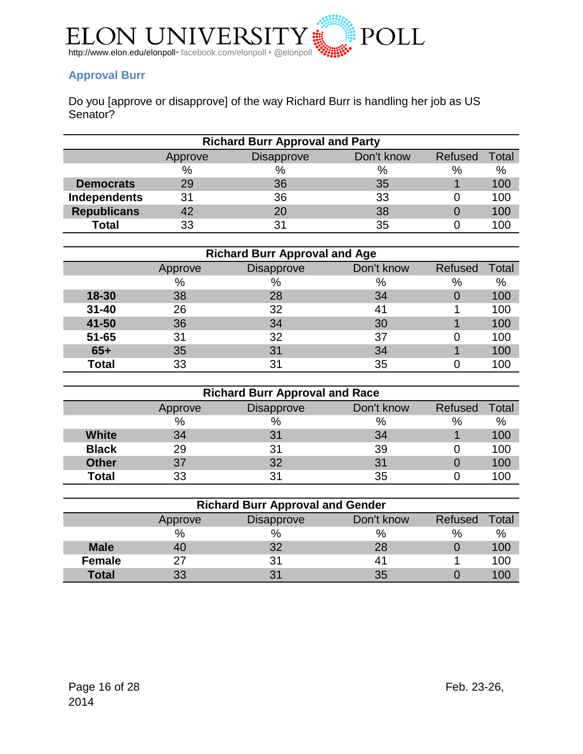

# <span id="page-15-0"></span>**Approval Burr**

Do you [approve or disapprove] of the way Richard Burr is handling her job as US Senator?

| <b>Richard Burr Approval and Party</b> |         |                   |            |         |       |
|----------------------------------------|---------|-------------------|------------|---------|-------|
|                                        | Approve | <b>Disapprove</b> | Don't know | Refused | Total |
|                                        | $\%$    | %                 | %          | $\%$    | $\%$  |
| <b>Democrats</b>                       | 29      | 36                | 35         |         | 100   |
| Independents                           | 31      | 36                | 33         |         | 100   |
| <b>Republicans</b>                     | 42      | 20                | 38         |         | 100   |
| <b>Total</b>                           | 33      | 31                | 35         |         | 100   |

|              | <b>Richard Burr Approval and Age</b> |                   |            |         |       |  |  |
|--------------|--------------------------------------|-------------------|------------|---------|-------|--|--|
|              | Approve                              | <b>Disapprove</b> | Don't know | Refused | Total |  |  |
|              | %                                    | $\%$              | $\%$       | %       | %     |  |  |
| 18-30        | 38                                   | 28                | 34         |         | 100   |  |  |
| $31 - 40$    | 26                                   | 32                | 41         |         | 100   |  |  |
| 41-50        | 36                                   | 34                | 30         |         | 100   |  |  |
| $51 - 65$    | 31                                   | 32                | 37         |         | 100   |  |  |
| $65+$        | 35                                   | 31                | 34         |         | 100   |  |  |
| <b>Total</b> | 33                                   | 31                | 35         |         | 100   |  |  |

| <b>Richard Burr Approval and Race</b> |         |                   |            |         |                        |
|---------------------------------------|---------|-------------------|------------|---------|------------------------|
|                                       | Approve | <b>Disapprove</b> | Don't know | Refused | $\tau$ <sub>otal</sub> |
|                                       | $\%$    | $\%$              | %          | %       | $\%$                   |
| <b>White</b>                          | 34      | 31                | 34         |         | 100                    |
| <b>Black</b>                          | 29      | 31                | 39         |         | 100                    |
| <b>Other</b>                          | 37      | 32                | 31         |         | 100                    |
| <b>Total</b>                          | 33      | 31                | 35         |         | 100                    |

| <b>Richard Burr Approval and Gender</b> |                                                       |                |    |      |      |  |
|-----------------------------------------|-------------------------------------------------------|----------------|----|------|------|--|
|                                         | Don't know<br>Refused<br><b>Disapprove</b><br>Approve |                |    |      |      |  |
|                                         | $\%$                                                  | $\%$           | %  | $\%$ | $\%$ |  |
| <b>Male</b>                             | 40                                                    | 32             | 28 |      | 100  |  |
| <b>Female</b>                           | 27                                                    | 31             | 41 |      | 100  |  |
| <b>Total</b>                            | 33                                                    | 3 <sup>1</sup> | 35 |      | 10C  |  |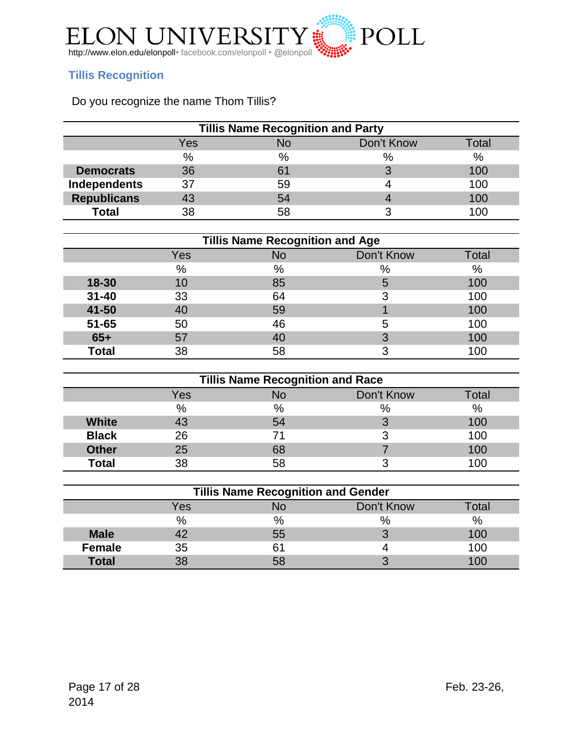

# <span id="page-16-0"></span>**Tillis Recognition**

# Do you recognize the name Thom Tillis?

| <b>Tillis Name Recognition and Party</b> |      |      |            |       |  |
|------------------------------------------|------|------|------------|-------|--|
|                                          | Yes  | No   | Don't Know | Total |  |
|                                          | $\%$ | $\%$ | $\%$       | $\%$  |  |
| <b>Democrats</b>                         | 36   | 61   |            | 100   |  |
| Independents                             | 37   | 59   |            | 100   |  |
| <b>Republicans</b>                       | 43   | 54   |            | 100   |  |
| <b>Total</b>                             | 38   | 58   |            | I NC  |  |

| <b>Tillis Name Recognition and Age</b> |     |    |            |       |  |  |
|----------------------------------------|-----|----|------------|-------|--|--|
|                                        | Yes | No | Don't Know | Total |  |  |
|                                        | %   | %  | $\%$       | %     |  |  |
| 18-30                                  | 10  | 85 | 5          | 100   |  |  |
| $31 - 40$                              | 33  | 64 | ≏          | 100   |  |  |
| 41-50                                  | 40  | 59 |            | 100   |  |  |
| $51 - 65$                              | 50  | 46 | 5          | 100   |  |  |
| $65+$                                  | 57  | 40 | 3          | 100   |  |  |
| <b>Total</b>                           | 38  | 58 |            | 100   |  |  |

| <b>Tillis Name Recognition and Race</b> |            |      |            |       |  |
|-----------------------------------------|------------|------|------------|-------|--|
|                                         | <b>Yes</b> | No   | Don't Know | Гоtal |  |
|                                         | %          | $\%$ | %          | %     |  |
| <b>White</b>                            |            | 54   | 2<br>w     | 100   |  |
| <b>Black</b>                            | 26         | 71   | っ<br>C     | 100   |  |
| <b>Other</b>                            | 25         | 68   |            | 100   |  |
| <b>Total</b>                            | 38         |      |            | 100   |  |

| <b>Tillis Name Recognition and Gender</b> |      |    |            |              |  |
|-------------------------------------------|------|----|------------|--------------|--|
|                                           | Yes  |    | Don't Know | <b>Total</b> |  |
|                                           | $\%$ | %  | $\%$       | $\%$         |  |
| <b>Male</b>                               |      | 55 | C          | 100          |  |
| <b>Female</b>                             | 35   |    |            | 100          |  |
| <b>Total</b>                              |      |    | ◠          | 100          |  |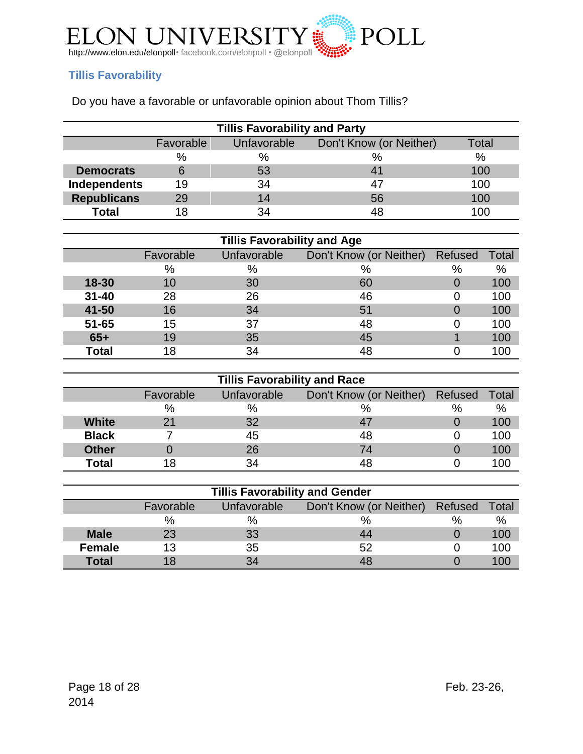

# <span id="page-17-0"></span>**Tillis Favorability**

Do you have a favorable or unfavorable opinion about Thom Tillis?

| <b>Tillis Favorability and Party</b> |           |             |                         |       |  |  |
|--------------------------------------|-----------|-------------|-------------------------|-------|--|--|
|                                      | Favorable | Unfavorable | Don't Know (or Neither) | Total |  |  |
|                                      | %         | $\%$        | $\%$                    | $\%$  |  |  |
| <b>Democrats</b>                     |           | 53          |                         | 100   |  |  |
| Independents                         | 19        | 34          |                         | 100   |  |  |
| <b>Republicans</b>                   | 29        | 14          | 56                      | 100   |  |  |
| <b>Total</b>                         |           | 34          |                         | 100   |  |  |

| <b>Tillis Favorability and Age</b> |           |             |                                 |   |       |  |  |  |
|------------------------------------|-----------|-------------|---------------------------------|---|-------|--|--|--|
|                                    | Favorable | Unfavorable | Don't Know (or Neither) Refused |   | Total |  |  |  |
|                                    | %         | %           | $\%$                            | % | %     |  |  |  |
| 18-30                              | 10        | 30          | 60                              | 0 | 100   |  |  |  |
| $31 - 40$                          | 28        | 26          | 46                              |   | 100   |  |  |  |
| 41-50                              | 16        | 34          | 51                              |   | 100   |  |  |  |
| $51 - 65$                          | 15        | 37          | 48                              |   | 100   |  |  |  |
| $65+$                              | 19        | 35          | 45                              |   | 100   |  |  |  |
| <b>Total</b>                       | 18        | 34          | 48                              |   | 100   |  |  |  |

| <b>Tillis Favorability and Race</b> |           |             |                                 |      |       |  |  |  |
|-------------------------------------|-----------|-------------|---------------------------------|------|-------|--|--|--|
|                                     | Favorable | Unfavorable | Don't Know (or Neither) Refused |      | Total |  |  |  |
|                                     | $\%$      | $\%$        | %                               | $\%$ | %     |  |  |  |
| <b>White</b>                        | 21        | 32          |                                 |      | 100   |  |  |  |
| <b>Black</b>                        |           | 45          | 48                              |      | 100   |  |  |  |
| <b>Other</b>                        |           | 26          | 74                              |      | 100   |  |  |  |
| <b>Total</b>                        |           | 34          | 48                              |      | 100   |  |  |  |

| <b>Tillis Favorability and Gender</b> |           |             |                                 |   |       |  |  |  |
|---------------------------------------|-----------|-------------|---------------------------------|---|-------|--|--|--|
|                                       | Favorable | Unfavorable | Don't Know (or Neither) Refused |   | Total |  |  |  |
|                                       | %         | $\%$        | %                               | % | %     |  |  |  |
| <b>Male</b>                           | 23        | 33          | 44                              |   | 100   |  |  |  |
| <b>Female</b>                         | 13        | 35          | 52                              |   | 100   |  |  |  |
| <b>Total</b>                          |           | 34          |                                 |   |       |  |  |  |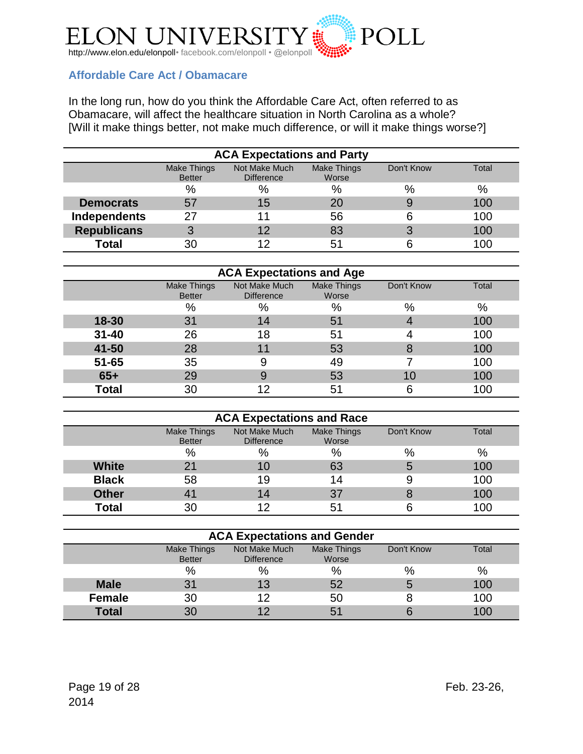

# <span id="page-18-0"></span>**Affordable Care Act / Obamacare**

In the long run, how do you think the Affordable Care Act, often referred to as Obamacare, will affect the healthcare situation in North Carolina as a whole? [Will it make things better, not make much difference, or will it make things worse?]

| <b>ACA Expectations and Party</b> |                                                                                                                          |    |      |               |     |  |  |  |
|-----------------------------------|--------------------------------------------------------------------------------------------------------------------------|----|------|---------------|-----|--|--|--|
|                                   | Not Make Much<br><b>Make Things</b><br>Make Things<br>Total<br>Don't Know<br><b>Better</b><br>Worse<br><b>Difference</b> |    |      |               |     |  |  |  |
|                                   | %                                                                                                                        | %  | $\%$ | $\frac{0}{0}$ | %   |  |  |  |
| <b>Democrats</b>                  | 57                                                                                                                       | 15 | 20   | 9             | 100 |  |  |  |
| Independents                      | 27                                                                                                                       |    | 56   | 6             | 100 |  |  |  |
| <b>Republicans</b>                | 3                                                                                                                        | 12 | 83   | 3             | 100 |  |  |  |
| <b>Total</b>                      | 30                                                                                                                       | 12 | 51   |               | 100 |  |  |  |

| <b>ACA Expectations and Age</b> |                              |                                    |                             |            |       |  |  |
|---------------------------------|------------------------------|------------------------------------|-----------------------------|------------|-------|--|--|
|                                 | Make Things<br><b>Better</b> | Not Make Much<br><b>Difference</b> | <b>Make Things</b><br>Worse | Don't Know | Total |  |  |
|                                 | %                            | $\%$                               | $\%$                        | $\%$       | $\%$  |  |  |
| 18-30                           | 31                           | 14                                 | 51                          | 4          | 100   |  |  |
| $31 - 40$                       | 26                           | 18                                 | 51                          |            | 100   |  |  |
| 41-50                           | 28                           | 11                                 | 53                          | 8          | 100   |  |  |
| $51 - 65$                       | 35                           | 9                                  | 49                          |            | 100   |  |  |
| $65+$                           | 29                           | 9                                  | 53                          | 10         | 100   |  |  |
| <b>Total</b>                    | 30                           | 12                                 | 51                          | 6          | 100   |  |  |

| <b>ACA Expectations and Race</b> |                              |                                    |                      |            |       |  |  |
|----------------------------------|------------------------------|------------------------------------|----------------------|------------|-------|--|--|
|                                  | Make Things<br><b>Better</b> | Not Make Much<br><b>Difference</b> | Make Things<br>Worse | Don't Know | Total |  |  |
|                                  | %                            | %                                  | %                    | $\%$       | %     |  |  |
| White                            | 2 <sub>1</sub>               | 10                                 | 63                   | 5          | 100   |  |  |
| <b>Black</b>                     | 58                           | 19                                 | 14                   | 9          | 100   |  |  |
| <b>Other</b>                     | 41                           | 14                                 | 37                   | 8          | 100   |  |  |
| <b>Total</b>                     | 30                           |                                    | 51                   |            | 100   |  |  |

| <b>ACA Expectations and Gender</b>                                                                                              |    |      |    |      |     |  |  |
|---------------------------------------------------------------------------------------------------------------------------------|----|------|----|------|-----|--|--|
| Not Make Much<br><b>Make Things</b><br><b>Make Things</b><br>Don't Know<br>Total<br><b>Better</b><br>Worse<br><b>Difference</b> |    |      |    |      |     |  |  |
|                                                                                                                                 | %  | $\%$ | %  | $\%$ | %   |  |  |
| <b>Male</b>                                                                                                                     | 31 | 13   | 52 | 5    | 100 |  |  |
| <b>Female</b>                                                                                                                   | 30 | 12   | 50 |      | 100 |  |  |
| <b>Total</b>                                                                                                                    | 30 |      | 51 |      | 100 |  |  |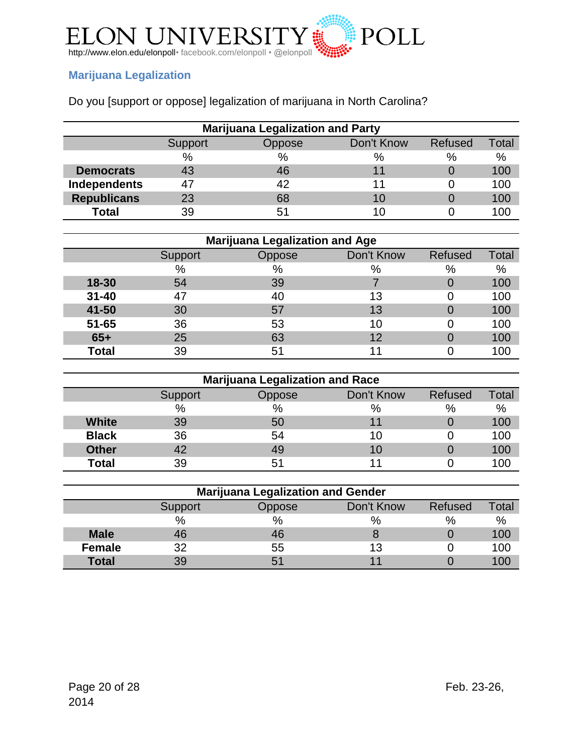

# <span id="page-19-0"></span>**Marijuana Legalization**

|  | Do you [support or oppose] legalization of marijuana in North Carolina? |
|--|-------------------------------------------------------------------------|
|--|-------------------------------------------------------------------------|

| <b>Marijuana Legalization and Party</b> |                                                            |    |    |   |     |  |  |  |
|-----------------------------------------|------------------------------------------------------------|----|----|---|-----|--|--|--|
|                                         | Don't Know<br>Total<br><b>Refused</b><br>Oppose<br>Support |    |    |   |     |  |  |  |
|                                         | $\%$                                                       | %  | %  | % | %   |  |  |  |
| <b>Democrats</b>                        | 43                                                         | 46 |    |   | 100 |  |  |  |
| Independents                            | 47                                                         | 42 |    |   | 100 |  |  |  |
| <b>Republicans</b>                      | 23                                                         | 68 | 10 |   | 100 |  |  |  |
| <b>Total</b>                            | 39                                                         | 51 |    |   | 100 |  |  |  |

|              | <b>Marijuana Legalization and Age</b> |               |            |         |       |  |  |  |
|--------------|---------------------------------------|---------------|------------|---------|-------|--|--|--|
|              | Support                               | <b>Oppose</b> | Don't Know | Refused | Total |  |  |  |
|              | $\%$                                  | $\%$          | %          | %       | %     |  |  |  |
| 18-30        | 54                                    | 39            |            |         | 100   |  |  |  |
| $31 - 40$    |                                       | 40            | 13         |         | 100   |  |  |  |
| 41-50        | 30                                    | 57            | 13         |         | 100   |  |  |  |
| $51 - 65$    | 36                                    | 53            | 10         |         | 100   |  |  |  |
| $65+$        | 25                                    | 63            | 12         |         | 100   |  |  |  |
| <b>Total</b> | 39                                    | 51            |            |         | . ೧೧  |  |  |  |

| <b>Marijuana Legalization and Race</b> |                                            |               |      |   |     |  |  |
|----------------------------------------|--------------------------------------------|---------------|------|---|-----|--|--|
|                                        | Don't Know<br>Refused<br>Oppose<br>Support |               |      |   |     |  |  |
|                                        | $\%$                                       | $\frac{0}{0}$ | $\%$ | % | %   |  |  |
| <b>White</b>                           | 39                                         | 50            |      |   | 100 |  |  |
| <b>Black</b>                           | 36                                         | 54            | 10   |   | 100 |  |  |
| <b>Other</b>                           | 42                                         | 49            | 10   |   | 100 |  |  |
| <b>Total</b>                           | 39                                         | 51            |      |   | 00  |  |  |

| <b>Marijuana Legalization and Gender</b>            |      |    |      |   |      |  |  |
|-----------------------------------------------------|------|----|------|---|------|--|--|
| Don't Know<br>Refused<br>Total<br>Support<br>Oppose |      |    |      |   |      |  |  |
|                                                     | $\%$ | %  | $\%$ | % | $\%$ |  |  |
| <b>Male</b>                                         |      | 46 |      |   | 100  |  |  |
| <b>Female</b>                                       | つつ   | 55 | 13   |   | 100  |  |  |
| <b>Total</b>                                        | 39   | 51 |      |   | l OC |  |  |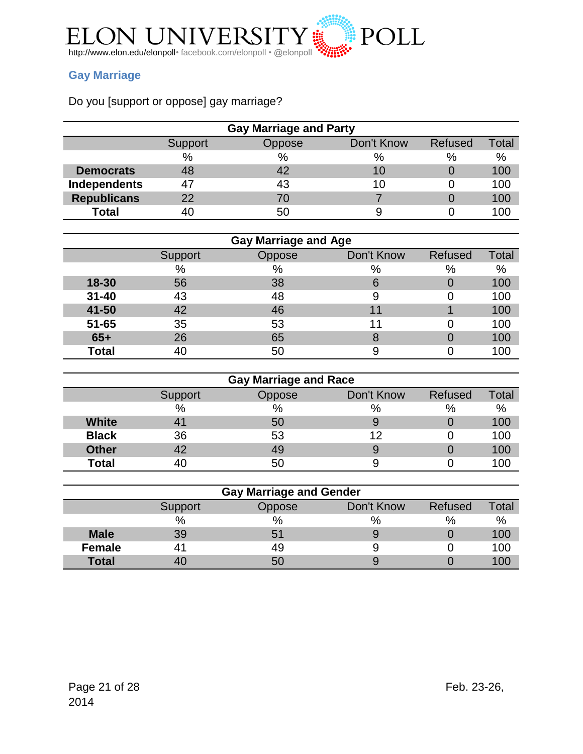

# <span id="page-20-0"></span>**Gay Marriage**

# Do you [support or oppose] gay marriage?

| <b>Gay Marriage and Party</b> |         |        |            |         |              |
|-------------------------------|---------|--------|------------|---------|--------------|
|                               | Support | Oppose | Don't Know | Refused | <b>Total</b> |
|                               | $\%$    | $\%$   | %          | $\%$    | %            |
| <b>Democrats</b>              | 48      | 42     | 10         |         | 100          |
| Independents                  | 47      | 43     | 10         |         | 100          |
| <b>Republicans</b>            | 22      | 70     |            |         | 100          |
| <b>Total</b>                  | 40      | 50     |            |         | 100          |

| <b>Gay Marriage and Age</b> |         |        |            |         |       |
|-----------------------------|---------|--------|------------|---------|-------|
|                             | Support | Oppose | Don't Know | Refused | Total |
|                             | $\%$    | %      | %          | $\%$    | %     |
| 18-30                       | 56      | 38     | 6          |         | 100   |
| $31 - 40$                   | 43      | 48     |            |         | 100   |
| 41-50                       | 42      | 46     | 11         |         | 100   |
| $51 - 65$                   | 35      | 53     | 11         |         | 100   |
| $65+$                       | 26      | 65     |            |         | 100   |
| <b>Total</b>                |         | 50     |            |         | 00    |

| <b>Gay Marriage and Race</b> |         |        |            |         |       |  |
|------------------------------|---------|--------|------------|---------|-------|--|
|                              | Support | Oppose | Don't Know | Refused | Total |  |
|                              | $\%$    | $\%$   | $\%$       | %       | $\%$  |  |
| <b>White</b>                 |         | 50     |            |         | 100   |  |
| <b>Black</b>                 | 36      | 53     | 12         |         | 100   |  |
| <b>Other</b>                 |         | 49     |            |         | 100   |  |
| <b>Total</b>                 |         | 50     |            |         | 100   |  |

| <b>Gay Marriage and Gender</b> |         |        |            |         |       |  |
|--------------------------------|---------|--------|------------|---------|-------|--|
|                                | Support | Oppose | Don't Know | Refused | Total |  |
|                                | %       | $\%$   | $\%$       | %       | $\%$  |  |
| <b>Male</b>                    | 39      | 51     |            |         | 100   |  |
| <b>Female</b>                  |         | 49     |            |         | 100   |  |
| <b>Total</b>                   |         | 50     |            |         | 100   |  |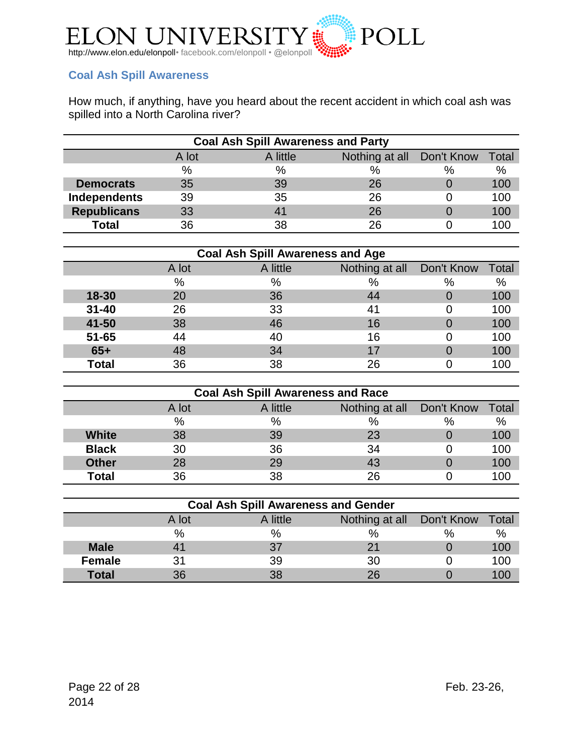

# <span id="page-21-0"></span>**Coal Ash Spill Awareness**

How much, if anything, have you heard about the recent accident in which coal ash was spilled into a North Carolina river?

| <b>Coal Ash Spill Awareness and Party</b> |       |          |                |            |       |  |
|-------------------------------------------|-------|----------|----------------|------------|-------|--|
|                                           | A lot | A little | Nothing at all | Don't Know | Total |  |
|                                           | $\%$  | $\%$     | $\%$           | %          | $\%$  |  |
| <b>Democrats</b>                          | 35    | 39       | 26             |            | 100   |  |
| Independents                              | 39    | 35       | 26             |            | 100   |  |
| <b>Republicans</b>                        | 33    |          | 26             |            | 100   |  |
| <b>Total</b>                              | 36    | 38       | 26             |            | 100   |  |

| <b>Coal Ash Spill Awareness and Age</b> |       |          |                           |   |       |  |
|-----------------------------------------|-------|----------|---------------------------|---|-------|--|
|                                         | A lot | A little | Nothing at all Don't Know |   | Total |  |
|                                         | %     | %        | %                         | % | %     |  |
| 18-30                                   | 20    | 36       | 44                        |   | 100   |  |
| $31 - 40$                               | 26    | 33       | 41                        |   | 100   |  |
| 41-50                                   | 38    | 46       | 16                        |   | 100   |  |
| $51 - 65$                               | 44    | 40       | 16                        |   | 100   |  |
| $65+$                                   | 48    | 34       | 17                        |   | 100   |  |
| <b>Total</b>                            | 36    | 38       | 26                        |   | 100   |  |

| <b>Coal Ash Spill Awareness and Race</b> |       |          |                |            |       |  |
|------------------------------------------|-------|----------|----------------|------------|-------|--|
|                                          | A lot | A little | Nothing at all | Don't Know | Total |  |
|                                          | %     | %        | $\%$           | $\%$       | %     |  |
| <b>White</b>                             | 38    | 39       | 23             |            | 100   |  |
| <b>Black</b>                             | 30    | 36       | 34             |            | 100   |  |
| <b>Other</b>                             | 28    | 29       | 43             |            | 100   |  |
| <b>Total</b>                             | 36    | 38       | 26             |            | 100   |  |

| <b>Coal Ash Spill Awareness and Gender</b> |       |          |                           |      |       |  |
|--------------------------------------------|-------|----------|---------------------------|------|-------|--|
|                                            | A lot | A little | Nothing at all Don't Know |      | Total |  |
|                                            | %     | $\%$     | $\%$                      | $\%$ | $\%$  |  |
| <b>Male</b>                                |       | 37       |                           |      | 100   |  |
| <b>Female</b>                              | 31    | 39       | 30                        |      | 100   |  |
| <b>Total</b>                               | 36    | 38       | 26                        |      |       |  |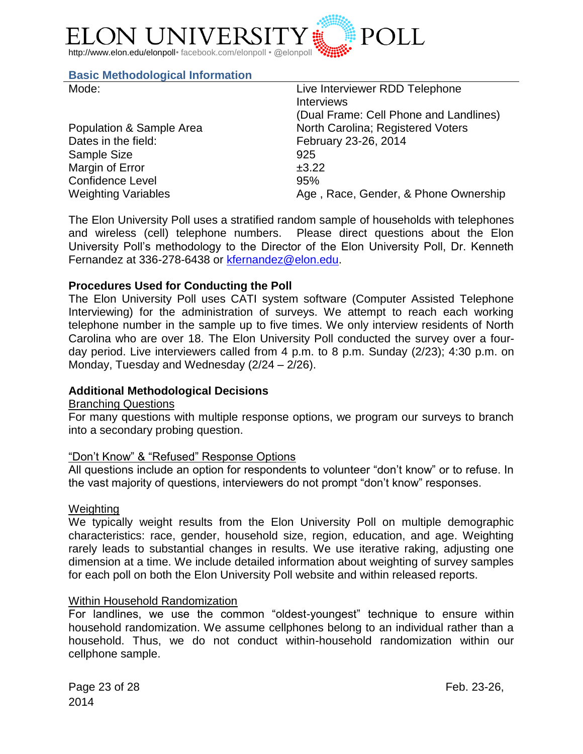

#### <span id="page-22-0"></span>**Basic Methodological Information**

| Mode:                      | Live Interviewer RDD Telephone         |
|----------------------------|----------------------------------------|
|                            | <b>Interviews</b>                      |
|                            | (Dual Frame: Cell Phone and Landlines) |
| Population & Sample Area   | North Carolina; Registered Voters      |
| Dates in the field:        | February 23-26, 2014                   |
| Sample Size                | 925                                    |
| Margin of Error            | ±3.22                                  |
| <b>Confidence Level</b>    | 95%                                    |
| <b>Weighting Variables</b> | Age, Race, Gender, & Phone Ownership   |

The Elon University Poll uses a stratified random sample of households with telephones and wireless (cell) telephone numbers. Please direct questions about the Elon University Poll's methodology to the Director of the Elon University Poll, Dr. Kenneth Fernandez at 336-278-6438 or [kfernandez@elon.edu.](mailto:kfernandez@elon.edu)

#### **Procedures Used for Conducting the Poll**

The Elon University Poll uses CATI system software (Computer Assisted Telephone Interviewing) for the administration of surveys. We attempt to reach each working telephone number in the sample up to five times. We only interview residents of North Carolina who are over 18. The Elon University Poll conducted the survey over a fourday period. Live interviewers called from 4 p.m. to 8 p.m. Sunday (2/23); 4:30 p.m. on Monday, Tuesday and Wednesday (2/24 – 2/26).

## **Additional Methodological Decisions**

#### Branching Questions

For many questions with multiple response options, we program our surveys to branch into a secondary probing question.

#### "Don't Know" & "Refused" Response Options

All questions include an option for respondents to volunteer "don't know" or to refuse. In the vast majority of questions, interviewers do not prompt "don't know" responses.

#### **Weighting**

We typically weight results from the Elon University Poll on multiple demographic characteristics: race, gender, household size, region, education, and age. Weighting rarely leads to substantial changes in results. We use iterative raking, adjusting one dimension at a time. We include detailed information about weighting of survey samples for each poll on both the Elon University Poll website and within released reports.

#### Within Household Randomization

For landlines, we use the common "oldest-youngest" technique to ensure within household randomization. We assume cellphones belong to an individual rather than a household. Thus, we do not conduct within-household randomization within our cellphone sample.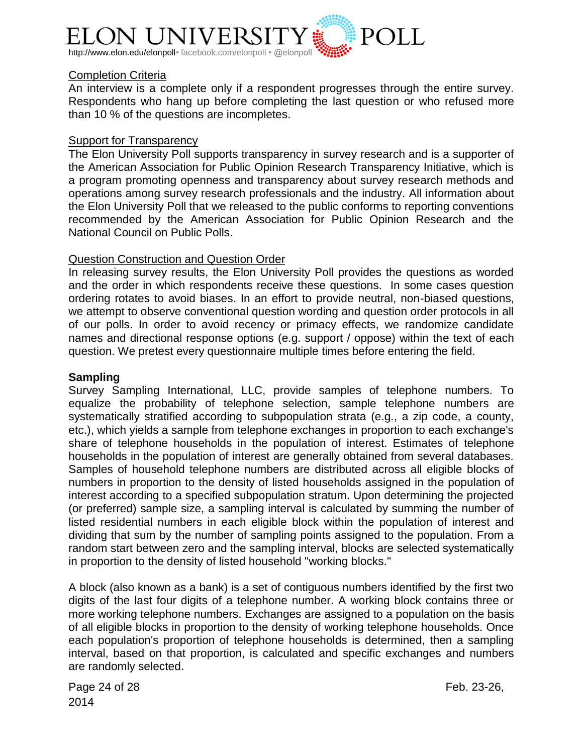

## Completion Criteria

An interview is a complete only if a respondent progresses through the entire survey. Respondents who hang up before completing the last question or who refused more than 10 % of the questions are incompletes.

#### **Support for Transparency**

The Elon University Poll supports transparency in survey research and is a supporter of the American Association for Public Opinion Research Transparency Initiative, which is a program promoting openness and transparency about survey research methods and operations among survey research professionals and the industry. All information about the Elon University Poll that we released to the public conforms to reporting conventions recommended by the American Association for Public Opinion Research and the National Council on Public Polls.

## Question Construction and Question Order

In releasing survey results, the Elon University Poll provides the questions as worded and the order in which respondents receive these questions. In some cases question ordering rotates to avoid biases. In an effort to provide neutral, non-biased questions, we attempt to observe conventional question wording and question order protocols in all of our polls. In order to avoid recency or primacy effects, we randomize candidate names and directional response options (e.g. support / oppose) within the text of each question. We pretest every questionnaire multiple times before entering the field.

#### **Sampling**

Survey Sampling International, LLC, provide samples of telephone numbers. To equalize the probability of telephone selection, sample telephone numbers are systematically stratified according to subpopulation strata (e.g., a zip code, a county, etc.), which yields a sample from telephone exchanges in proportion to each exchange's share of telephone households in the population of interest. Estimates of telephone households in the population of interest are generally obtained from several databases. Samples of household telephone numbers are distributed across all eligible blocks of numbers in proportion to the density of listed households assigned in the population of interest according to a specified subpopulation stratum. Upon determining the projected (or preferred) sample size, a sampling interval is calculated by summing the number of listed residential numbers in each eligible block within the population of interest and dividing that sum by the number of sampling points assigned to the population. From a random start between zero and the sampling interval, blocks are selected systematically in proportion to the density of listed household "working blocks."

A block (also known as a bank) is a set of contiguous numbers identified by the first two digits of the last four digits of a telephone number. A working block contains three or more working telephone numbers. Exchanges are assigned to a population on the basis of all eligible blocks in proportion to the density of working telephone households. Once each population's proportion of telephone households is determined, then a sampling interval, based on that proportion, is calculated and specific exchanges and numbers are randomly selected.

Page 24 of 28 Feb. 23-26, 2014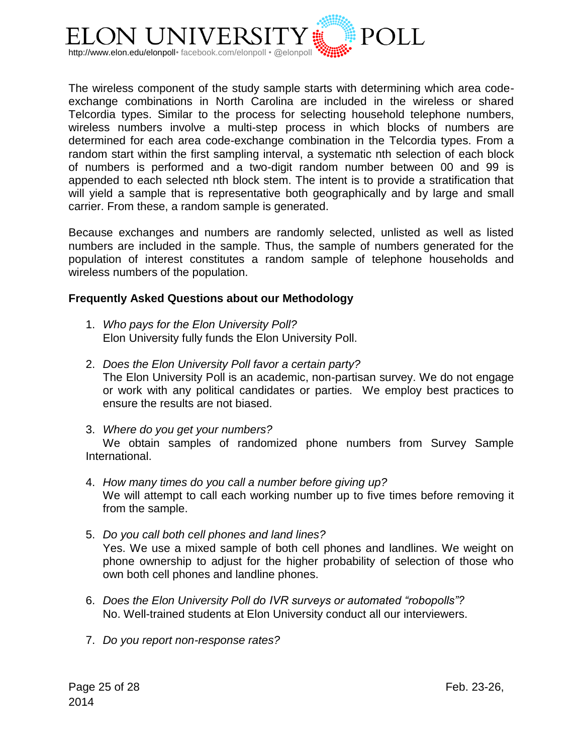

The wireless component of the study sample starts with determining which area codeexchange combinations in North Carolina are included in the wireless or shared Telcordia types. Similar to the process for selecting household telephone numbers, wireless numbers involve a multi-step process in which blocks of numbers are determined for each area code-exchange combination in the Telcordia types. From a random start within the first sampling interval, a systematic nth selection of each block of numbers is performed and a two-digit random number between 00 and 99 is appended to each selected nth block stem. The intent is to provide a stratification that will yield a sample that is representative both geographically and by large and small carrier. From these, a random sample is generated.

Because exchanges and numbers are randomly selected, unlisted as well as listed numbers are included in the sample. Thus, the sample of numbers generated for the population of interest constitutes a random sample of telephone households and wireless numbers of the population.

## **Frequently Asked Questions about our Methodology**

- 1. *Who pays for the Elon University Poll?* Elon University fully funds the Elon University Poll.
- 2. *Does the Elon University Poll favor a certain party?* The Elon University Poll is an academic, non-partisan survey. We do not engage or work with any political candidates or parties. We employ best practices to ensure the results are not biased.
- 3. *Where do you get your numbers?*

We obtain samples of randomized phone numbers from Survey Sample International.

- 4. *How many times do you call a number before giving up?* We will attempt to call each working number up to five times before removing it from the sample.
- 5. *Do you call both cell phones and land lines?* Yes. We use a mixed sample of both cell phones and landlines. We weight on phone ownership to adjust for the higher probability of selection of those who own both cell phones and landline phones.
- 6. *Does the Elon University Poll do IVR surveys or automated "robopolls"?* No. Well-trained students at Elon University conduct all our interviewers.
- 7. *Do you report non-response rates?*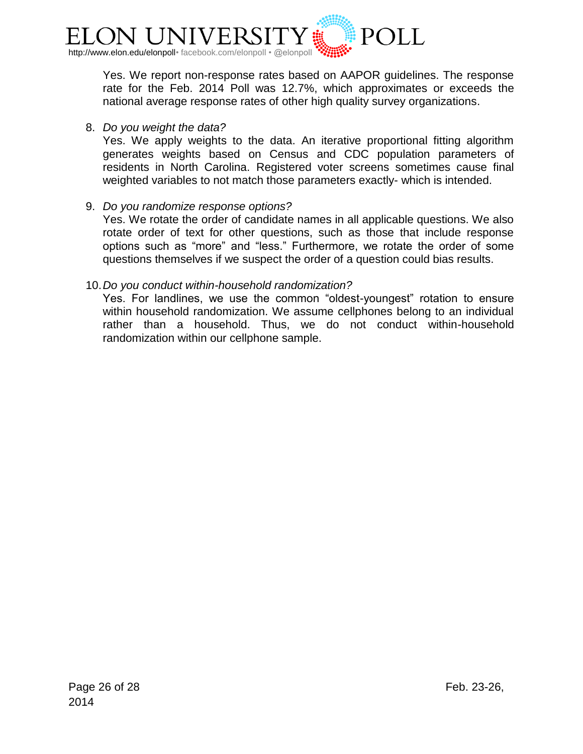

Yes. We report non-response rates based on AAPOR guidelines. The response rate for the Feb. 2014 Poll was 12.7%, which approximates or exceeds the national average response rates of other high quality survey organizations.

## 8. *Do you weight the data?*

Yes. We apply weights to the data. An iterative proportional fitting algorithm generates weights based on Census and CDC population parameters of residents in North Carolina. Registered voter screens sometimes cause final weighted variables to not match those parameters exactly- which is intended.

## 9. *Do you randomize response options?*

Yes. We rotate the order of candidate names in all applicable questions. We also rotate order of text for other questions, such as those that include response options such as "more" and "less." Furthermore, we rotate the order of some questions themselves if we suspect the order of a question could bias results.

## 10.*Do you conduct within-household randomization?*

Yes. For landlines, we use the common "oldest-youngest" rotation to ensure within household randomization. We assume cellphones belong to an individual rather than a household. Thus, we do not conduct within-household randomization within our cellphone sample.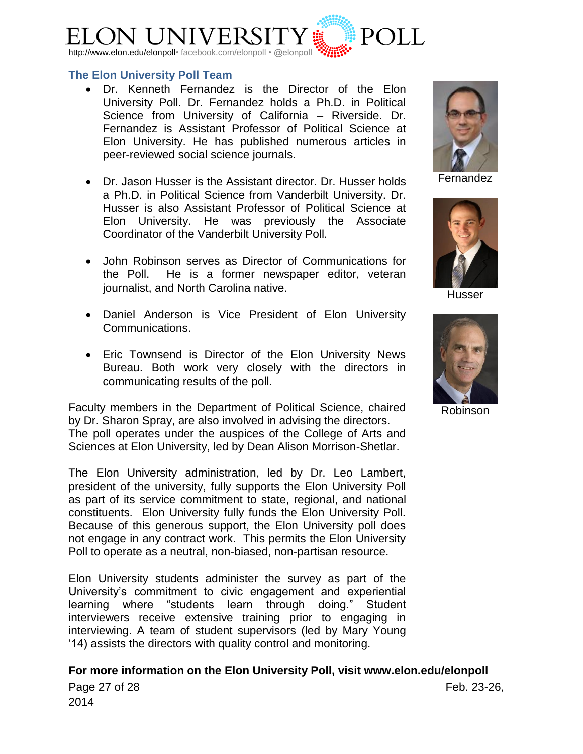

#### <span id="page-26-0"></span>**The Elon University Poll Team**

- [Dr. Kenneth Fernandez](http://www.elon.edu/directories/profile/?user=kfernandez) is the Director of the Elon University Poll. Dr. Fernandez holds a Ph.D. in Political Science from University of California – Riverside. Dr. Fernandez is Assistant Professor of Political Science at Elon University. He has published numerous articles in peer-reviewed social science journals.
- [Dr. Jason Husser](http://www.elon.edu/directories/profile/?user=jhusser) is the Assistant director. Dr. Husser holds a Ph.D. in Political Science from Vanderbilt University. Dr. Husser is also Assistant Professor of Political Science at Elon University. He was previously the Associate Coordinator of the Vanderbilt University Poll.
- John Robinson serves as Director of Communications for the Poll. He is a former newspaper editor, veteran journalist, and North Carolina native.
- Daniel Anderson is Vice President of Elon University Communications.
- Eric Townsend is Director of the Elon University News Bureau. Both work very closely with the directors in communicating results of the poll.

Faculty members in the Department of Political Science, chaired by Dr. Sharon Spray, are also involved in advising the directors. The poll operates under the auspices of the College of Arts and Sciences at Elon University, led by Dean Alison Morrison-Shetlar.

The Elon University administration, led by Dr. Leo Lambert, president of the university, fully supports the Elon University Poll as part of its service commitment to state, regional, and national constituents. Elon University fully funds the Elon University Poll. Because of this generous support, the Elon University poll does not engage in any contract work. This permits the Elon University Poll to operate as a neutral, non-biased, non-partisan resource.

Elon University students administer the survey as part of the University's commitment to civic engagement and experiential learning where "students learn through doing." Student interviewers receive extensive training prior to engaging in interviewing. A team of student supervisors (led by Mary Young '14) assists the directors with quality control and monitoring.



Page 27 of 28 Feb. 23-26, 2014



Fernandez



Husser



Robinson